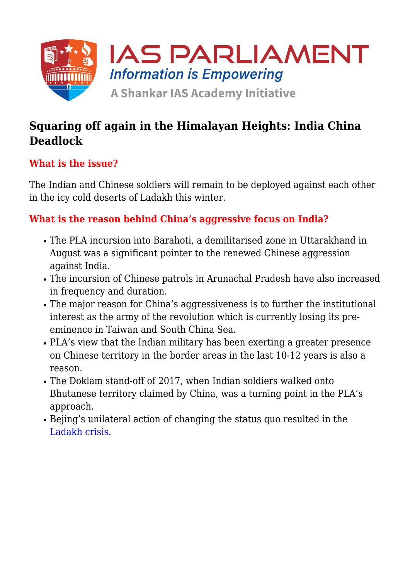

# **Squaring off again in the Himalayan Heights: India China Deadlock**

### **What is the issue?**

The Indian and Chinese soldiers will remain to be deployed against each other in the icy cold deserts of Ladakh this winter.

## **What is the reason behind China's aggressive focus on India?**

- The PLA incursion into Barahoti, a demilitarised zone in Uttarakhand in August was a significant pointer to the renewed Chinese aggression against India.
- The incursion of Chinese patrols in Arunachal Pradesh have also increased in frequency and duration.
- The major reason for China's aggressiveness is to further the institutional interest as the army of the revolution which is currently losing its preeminence in Taiwan and South China Sea.
- PLA's view that the Indian military has been exerting a greater presence on Chinese territory in the border areas in the last 10-12 years is also a reason.
- The Doklam stand-off of 2017, when Indian soldiers walked onto Bhutanese territory claimed by China, was a turning point in the PLA's approach.
- Bejing's unilateral action of changing the status quo resulted in the [Ladakh crisis.](https://www.iasparliament.com/current-affairs/ladakh-standoff-india-china-talks-at-an-impasse)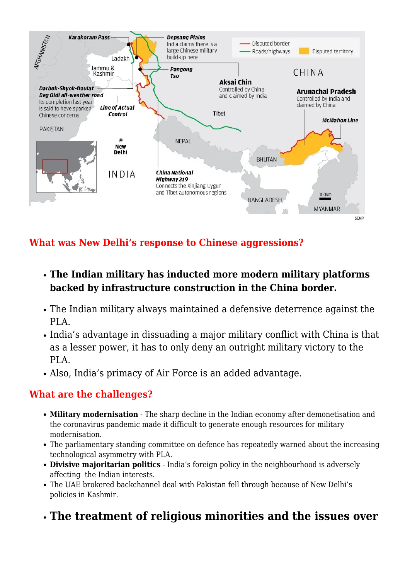

**What was New Delhi's response to Chinese aggressions?**

- **The Indian military has inducted more modern military platforms backed by infrastructure construction in the China border.**
- The Indian military always maintained a defensive deterrence against the PLA.
- India's advantage in dissuading a major military conflict with China is that as a lesser power, it has to only deny an outright military victory to the PLA.
- Also, India's primacy of Air Force is an added advantage.

#### **What are the challenges?**

- **Military modernisation** The sharp decline in the Indian economy after demonetisation and the coronavirus pandemic made it difficult to generate enough resources for military modernisation.
- The parliamentary standing committee on defence has repeatedly warned about the increasing technological asymmetry with PLA.
- **Divisive majoritarian politics** India's foreign policy in the neighbourhood is adversely affecting the Indian interests.
- The UAE brokered backchannel deal with Pakistan fell through because of New Delhi's policies in Kashmir.
- **The treatment of religious minorities and the issues over**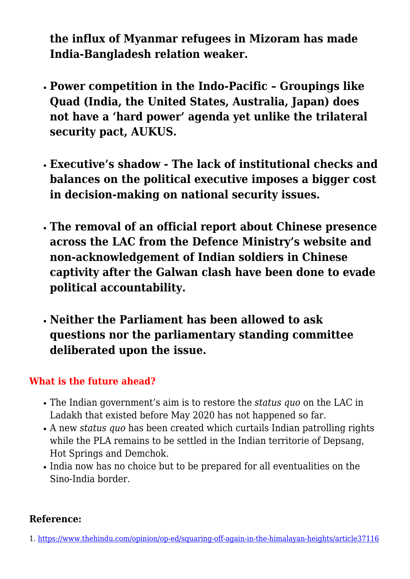**the influx of Myanmar refugees in Mizoram has made India-Bangladesh relation weaker.**

- **Power competition in the Indo-Pacific Groupings like Quad (India, the United States, Australia, Japan) does not have a 'hard power' agenda yet unlike the trilateral security pact, AUKUS.**
- **Executive's shadow The lack of institutional checks and balances on the political executive imposes a bigger cost in decision-making on national security issues.**
- **The removal of an official report about Chinese presence across the LAC from the Defence Ministry's website and non-acknowledgement of Indian soldiers in Chinese captivity after the Galwan clash have been done to evade political accountability.**
- **Neither the Parliament has been allowed to ask questions nor the parliamentary standing committee deliberated upon the issue.**

### **What is the future ahead?**

- The Indian government's aim is to restore the *status quo* on the LAC in Ladakh that existed before May 2020 has not happened so far.
- A new *status quo* has been created which curtails Indian patrolling rights while the PLA remains to be settled in the Indian territorie of Depsang, Hot Springs and Demchok.
- India now has no choice but to be prepared for all eventualities on the Sino-India border.

### **Reference:**

1. [https://www.thehindu.com/opinion/op-ed/squaring-off-again-in-the-himalayan-heights/article37116](https://www.thehindu.com/opinion/op-ed/squaring-off-again-in-the-himalayan-heights/article37116226.ece)